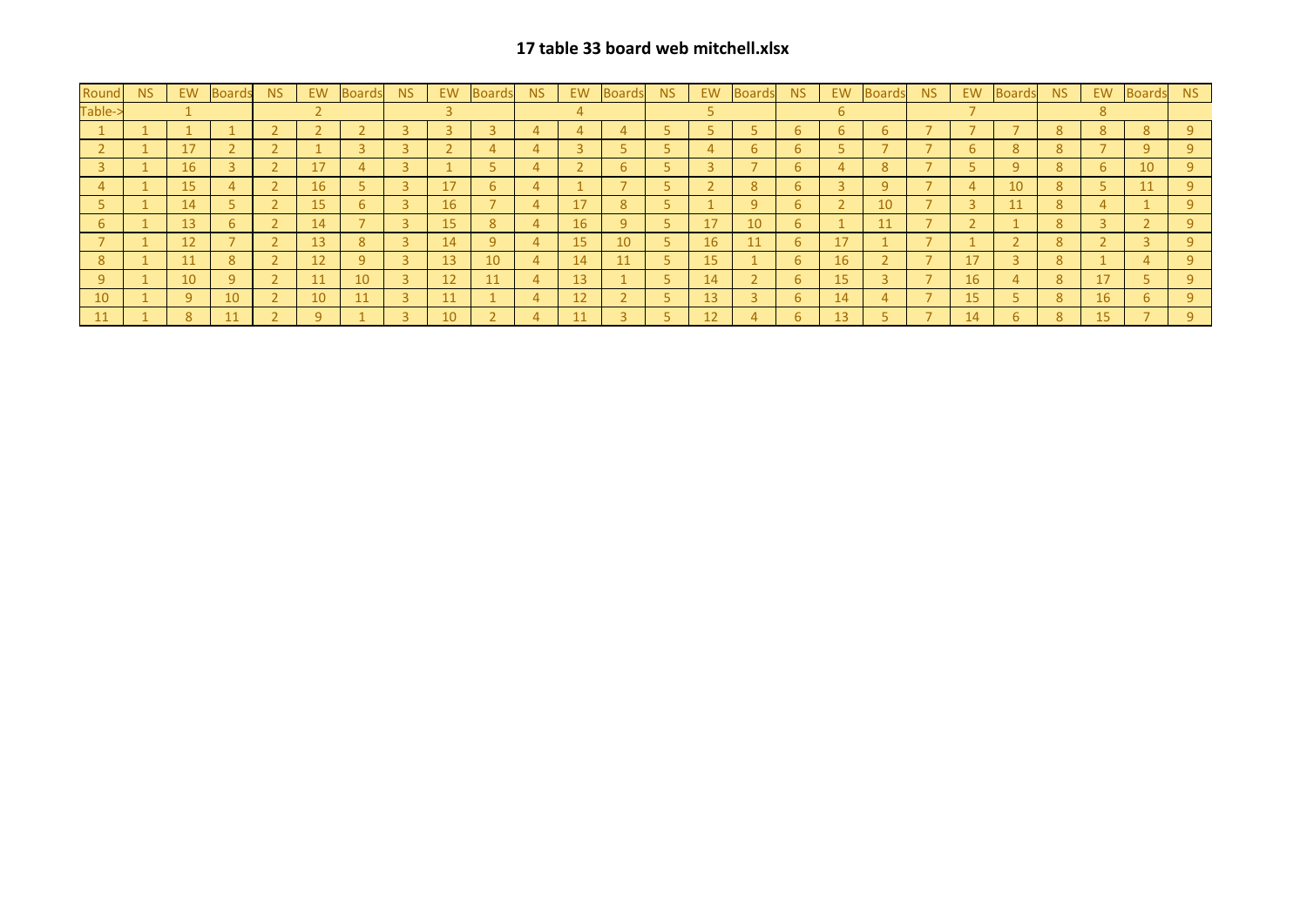## **17 table 33 board web mitchell.xlsx**

| Round          | <b>NS</b> | EW | Boards | NS/                      | <b>EW</b>    | <b>Boards</b> | NS. | EW | Boards | <b>NS</b> | EW. | Boards          | NS. | EW        | Boards | <b>NS</b>      | EW              | <b>Boards</b> | N <sub>S</sub> | EW        | <b>Boards</b> | <b>NS</b> | EW.            | Boards | <b>NS</b>    |
|----------------|-----------|----|--------|--------------------------|--------------|---------------|-----|----|--------|-----------|-----|-----------------|-----|-----------|--------|----------------|-----------------|---------------|----------------|-----------|---------------|-----------|----------------|--------|--------------|
| Table-:        |           |    |        |                          |              |               |     |    |        |           |     |                 |     |           |        |                |                 |               |                |           |               |           |                |        |              |
|                |           |    |        |                          |              |               |     |    |        |           |     |                 |     |           |        |                |                 | 6             |                |           |               | 8         | $\overline{8}$ | 8      | $\mathsf{Q}$ |
|                |           | 17 |        |                          |              |               |     |    |        |           |     |                 |     |           | 6      | 6              |                 |               |                | h         | 8             | 8         |                | 9      | a.           |
|                |           | 16 |        | ∍                        | 17           |               |     |    |        |           |     | h.              |     |           |        | 6              |                 | 8             |                |           | <sup>9</sup>  | 8         | 6              | 10     |              |
|                |           | 15 |        |                          | 16           |               |     | 17 | 6      | 4         |     |                 |     |           | 8      | 6              |                 | 9             |                |           | 10            | 8         |                | 11     |              |
|                |           | 14 |        |                          | 15           | b.            |     | 16 |        |           | 17  | 8.              |     |           |        | 6 <sup>7</sup> |                 | 10            |                |           |               | 8         |                |        |              |
| 6 <sup>7</sup> |           | 13 | 6      | $\overline{2}$           | 14           |               |     | 15 | 8      | 4         | 16  | 9               |     | 17        | 10     | 6              |                 | 11            |                |           |               | 8         |                |        | $\alpha$     |
|                |           | 12 |        | 2                        | 13           | 8             |     | 14 | 9      |           | 15  | 10 <sup>°</sup> |     | <b>16</b> | 11     | 6              | 17              |               |                |           |               | 8         |                |        | a.           |
| 8              |           | 11 | 8      |                          | 12           | q             |     | 13 | 10     | 4         | 14  | 11              |     | 15        |        | 6              | 16              |               |                | 17        |               | 8         |                |        |              |
| $\mathsf{Q}$   |           | 10 | 9      | $\bigcap$                | 11           | 10            |     | 12 | 11     | 4         | 13  |                 |     | 14        |        | 6              | 15              |               |                | 16        |               | 8         | 17             |        |              |
| 10             |           | 9  | 10     |                          | 10           | <b>11</b>     |     | 11 |        |           | 12  |                 |     | 13        |        | 6              | 14              |               |                | <b>15</b> |               | 8         | 16             | 6      |              |
| 11             |           | 8  | 11     | $\overline{\phantom{0}}$ | $\mathsf{q}$ |               |     | 10 |        |           | 11  |                 |     | 12        |        | 6              | 13 <sup>°</sup> |               |                | 14        | 6             | 8         | 15             |        | $\mathsf{q}$ |